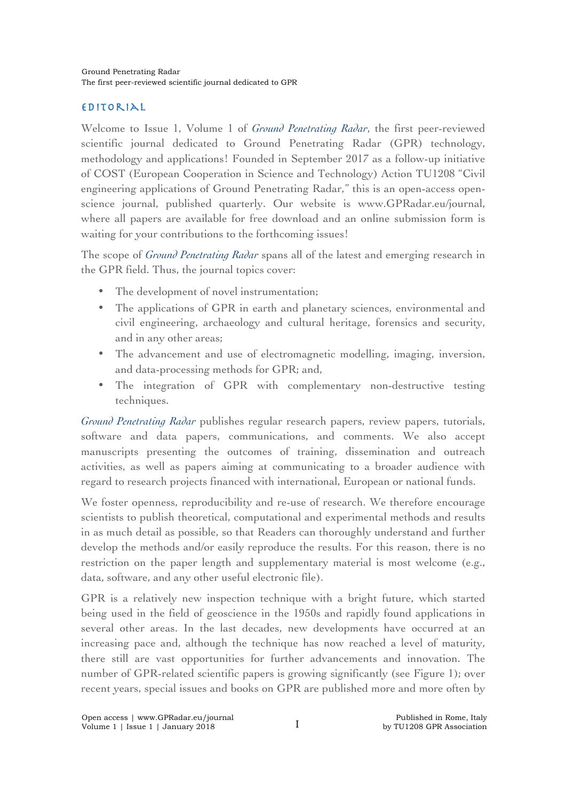## EDITORIAL

Welcome to Issue 1, Volume 1 of *Ground Penetrating Radar*, the first peer-reviewed scientific journal dedicated to Ground Penetrating Radar (GPR) technology, methodology and applications! Founded in September 2017 as a follow-up initiative of COST (European Cooperation in Science and Technology) Action TU1208 "Civil engineering applications of Ground Penetrating Radar," this is an open-access openscience journal, published quarterly. Our website is www.GPRadar.eu/journal, where all papers are available for free download and an online submission form is waiting for your contributions to the forthcoming issues!

The scope of *Ground Penetrating Radar* spans all of the latest and emerging research in the GPR field. Thus, the journal topics cover:

- The development of novel instrumentation;
- The applications of GPR in earth and planetary sciences, environmental and civil engineering, archaeology and cultural heritage, forensics and security, and in any other areas;
- The advancement and use of electromagnetic modelling, imaging, inversion, and data-processing methods for GPR; and,
- The integration of GPR with complementary non-destructive testing techniques.

*Ground Penetrating Radar* publishes regular research papers, review papers, tutorials, software and data papers, communications, and comments. We also accept manuscripts presenting the outcomes of training, dissemination and outreach activities, as well as papers aiming at communicating to a broader audience with regard to research projects financed with international, European or national funds.

We foster openness, reproducibility and re-use of research. We therefore encourage scientists to publish theoretical, computational and experimental methods and results in as much detail as possible, so that Readers can thoroughly understand and further develop the methods and/or easily reproduce the results. For this reason, there is no restriction on the paper length and supplementary material is most welcome (e.g., data, software, and any other useful electronic file).

GPR is a relatively new inspection technique with a bright future, which started being used in the field of geoscience in the 1950s and rapidly found applications in several other areas. In the last decades, new developments have occurred at an increasing pace and, although the technique has now reached a level of maturity, there still are vast opportunities for further advancements and innovation. The number of GPR-related scientific papers is growing significantly (see Figure 1); over recent years, special issues and books on GPR are published more and more often by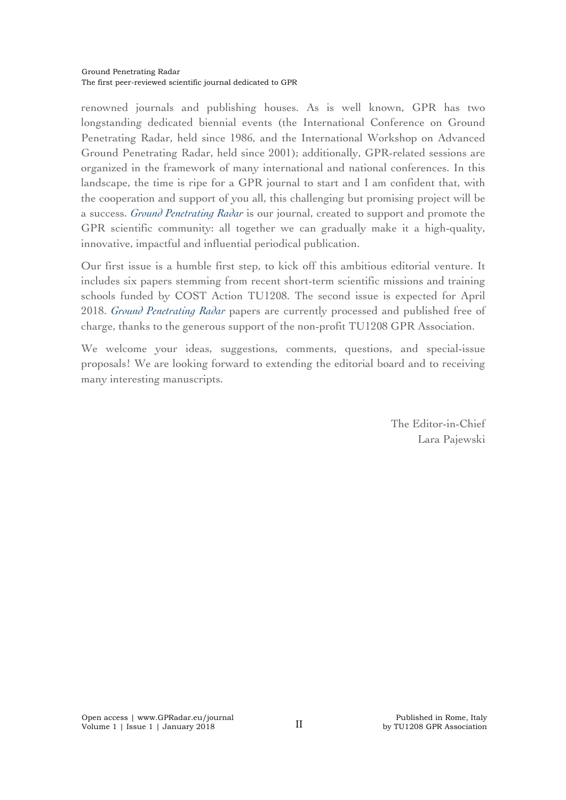renowned journals and publishing houses. As is well known, GPR has two longstanding dedicated biennial events (the International Conference on Ground Penetrating Radar, held since 1986, and the International Workshop on Advanced Ground Penetrating Radar, held since 2001); additionally, GPR-related sessions are organized in the framework of many international and national conferences. In this landscape, the time is ripe for a GPR journal to start and I am confident that, with the cooperation and support of you all, this challenging but promising project will be a success. *Ground Penetrating Radar* is our journal, created to support and promote the GPR scientific community: all together we can gradually make it a high-quality, innovative, impactful and influential periodical publication.

Our first issue is a humble first step, to kick off this ambitious editorial venture. It includes six papers stemming from recent short-term scientific missions and training schools funded by COST Action TU1208. The second issue is expected for April 2018. *Ground Penetrating Radar* papers are currently processed and published free of charge, thanks to the generous support of the non-profit TU1208 GPR Association.

We welcome your ideas, suggestions, comments, questions, and special-issue proposals! We are looking forward to extending the editorial board and to receiving many interesting manuscripts.

> The Editor-in-Chief Lara Pajewski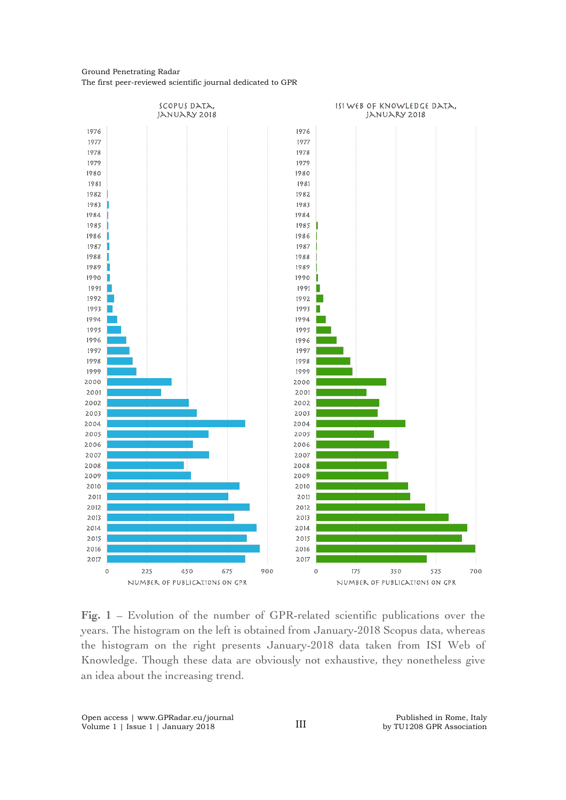## Ground Penetrating Radar The first peer-reviewed scientific journal dedicated to GPR



**Fig. 1** – Evolution of the number of GPR-related scientific publications over the years. The histogram on the left is obtained from January-2018 Scopus data, whereas the histogram on the right presents January-2018 data taken from ISI Web of Knowledge. Though these data are obviously not exhaustive, they nonetheless give an idea about the increasing trend.

Open access | www.GPRadar.eu/journal Volume 1 | Issue 1 | January 2018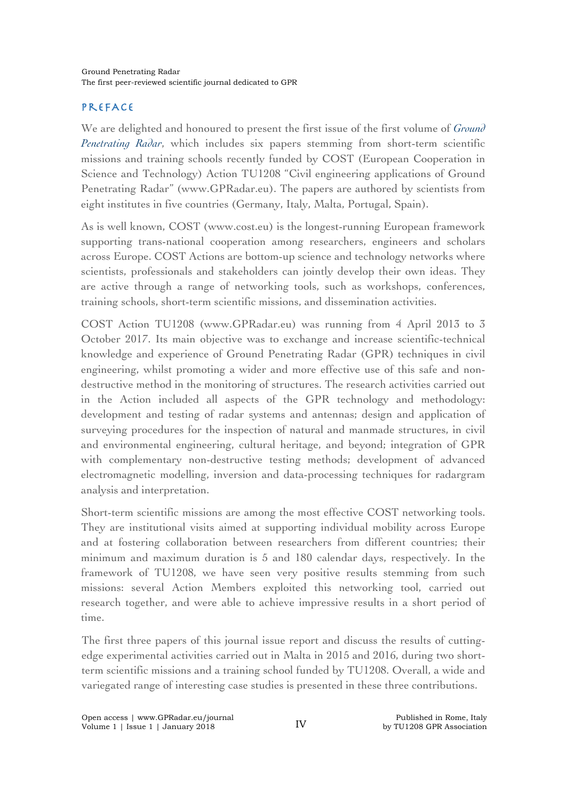## PrefAce

We are delighted and honoured to present the first issue of the first volume of *Ground Penetrating Radar*, which includes six papers stemming from short-term scientific missions and training schools recently funded by COST (European Cooperation in Science and Technology) Action TU1208 "Civil engineering applications of Ground Penetrating Radar" (www.GPRadar.eu). The papers are authored by scientists from eight institutes in five countries (Germany, Italy, Malta, Portugal, Spain).

As is well known, COST (www.cost.eu) is the longest-running European framework supporting trans-national cooperation among researchers, engineers and scholars across Europe. COST Actions are bottom-up science and technology networks where scientists, professionals and stakeholders can jointly develop their own ideas. They are active through a range of networking tools, such as workshops, conferences, training schools, short-term scientific missions, and dissemination activities.

COST Action TU1208 (www.GPRadar.eu) was running from 4 April 2013 to 3 October 2017. Its main objective was to exchange and increase scientific-technical knowledge and experience of Ground Penetrating Radar (GPR) techniques in civil engineering, whilst promoting a wider and more effective use of this safe and nondestructive method in the monitoring of structures. The research activities carried out in the Action included all aspects of the GPR technology and methodology: development and testing of radar systems and antennas; design and application of surveying procedures for the inspection of natural and manmade structures, in civil and environmental engineering, cultural heritage, and beyond; integration of GPR with complementary non-destructive testing methods; development of advanced electromagnetic modelling, inversion and data-processing techniques for radargram analysis and interpretation.

Short-term scientific missions are among the most effective COST networking tools. They are institutional visits aimed at supporting individual mobility across Europe and at fostering collaboration between researchers from different countries; their minimum and maximum duration is 5 and 180 calendar days, respectively. In the framework of TU1208, we have seen very positive results stemming from such missions: several Action Members exploited this networking tool, carried out research together, and were able to achieve impressive results in a short period of time.

The first three papers of this journal issue report and discuss the results of cuttingedge experimental activities carried out in Malta in 2015 and 2016, during two shortterm scientific missions and a training school funded by TU1208. Overall, a wide and variegated range of interesting case studies is presented in these three contributions.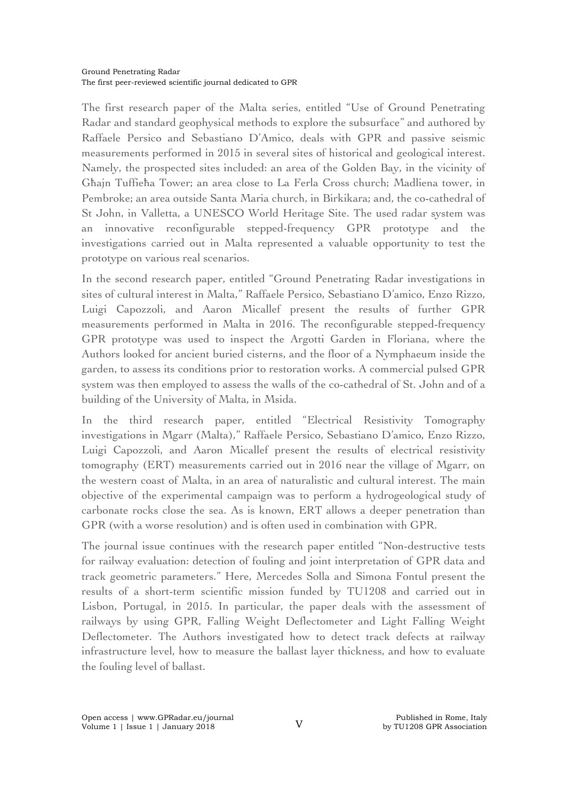The first research paper of the Malta series, entitled "Use of Ground Penetrating Radar and standard geophysical methods to explore the subsurface" and authored by Raffaele Persico and Sebastiano D'Amico, deals with GPR and passive seismic measurements performed in 2015 in several sites of historical and geological interest. Namely, the prospected sites included: an area of the Golden Bay, in the vicinity of Għajn Tuffieħa Tower; an area close to La Ferla Cross church; Madliena tower, in Pembroke; an area outside Santa Maria church, in Birkikara; and, the co-cathedral of St John, in Valletta, a UNESCO World Heritage Site. The used radar system was an innovative reconfigurable stepped-frequency GPR prototype and the investigations carried out in Malta represented a valuable opportunity to test the prototype on various real scenarios.

In the second research paper, entitled "Ground Penetrating Radar investigations in sites of cultural interest in Malta," Raffaele Persico, Sebastiano D'amico, Enzo Rizzo, Luigi Capozzoli, and Aaron Micallef present the results of further GPR measurements performed in Malta in 2016. The reconfigurable stepped-frequency GPR prototype was used to inspect the Argotti Garden in Floriana, where the Authors looked for ancient buried cisterns, and the floor of a Nymphaeum inside the garden, to assess its conditions prior to restoration works. A commercial pulsed GPR system was then employed to assess the walls of the co-cathedral of St. John and of a building of the University of Malta, in Msida.

In the third research paper, entitled "Electrical Resistivity Tomography investigations in Mgarr (Malta)," Raffaele Persico, Sebastiano D'amico, Enzo Rizzo, Luigi Capozzoli, and Aaron Micallef present the results of electrical resistivity tomography (ERT) measurements carried out in 2016 near the village of Mgarr, on the western coast of Malta, in an area of naturalistic and cultural interest. The main objective of the experimental campaign was to perform a hydrogeological study of carbonate rocks close the sea. As is known, ERT allows a deeper penetration than GPR (with a worse resolution) and is often used in combination with GPR.

The journal issue continues with the research paper entitled "Non-destructive tests for railway evaluation: detection of fouling and joint interpretation of GPR data and track geometric parameters." Here, Mercedes Solla and Simona Fontul present the results of a short-term scientific mission funded by TU1208 and carried out in Lisbon, Portugal, in 2015. In particular, the paper deals with the assessment of railways by using GPR, Falling Weight Deflectometer and Light Falling Weight Deflectometer. The Authors investigated how to detect track defects at railway infrastructure level, how to measure the ballast layer thickness, and how to evaluate the fouling level of ballast.